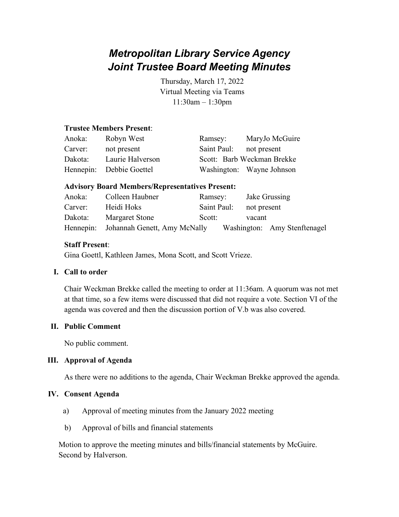# *Metropolitan Library Service Agency Joint Trustee Board Meeting Minutes*

Thursday, March 17, 2022 Virtual Meeting via Teams 11:30am – 1:30pm

#### **Trustee Members Present**:

| Anoka:  | Robyn West               | Ramsey:     | MaryJo McGuire             |
|---------|--------------------------|-------------|----------------------------|
| Carver: | not present              | Saint Paul: | not present                |
| Dakota: | Laurie Halverson         |             | Scott: Barb Weckman Brekke |
|         | Hennepin: Debbie Goettel |             | Washington: Wayne Johnson  |

#### **Advisory Board Members/Representatives Present:**

| Anoka:  | Colleen Haubner                        | Ramsey:                 | Jake Grussing                |
|---------|----------------------------------------|-------------------------|------------------------------|
| Carver: | Heidi Hoks                             | Saint Paul: not present |                              |
| Dakota: | <b>Margaret Stone</b>                  | Scott:                  | vacant                       |
|         | Hennepin: Johannah Genett, Amy McNally |                         | Washington: Amy Stenftenagel |

## **Staff Present**:

Gina Goettl, Kathleen James, Mona Scott, and Scott Vrieze.

## **I. Call to order**

Chair Weckman Brekke called the meeting to order at 11:36am. A quorum was not met at that time, so a few items were discussed that did not require a vote. Section VI of the agenda was covered and then the discussion portion of V.b was also covered.

## **II. Public Comment**

No public comment.

## **III. Approval of Agenda**

As there were no additions to the agenda, Chair Weckman Brekke approved the agenda.

#### **IV. Consent Agenda**

- a) Approval of meeting minutes from the January 2022 meeting
- b) Approval of bills and financial statements

Motion to approve the meeting minutes and bills/financial statements by McGuire. Second by Halverson.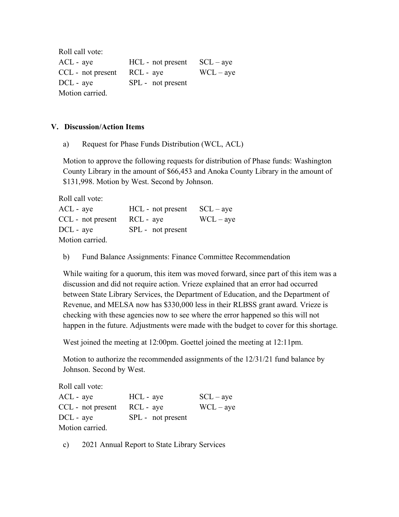Roll call vote: ACL - aye HCL - not present SCL – aye  $CCL$  - not present  $RCL$  - aye  $WCL - aye$ DCL - aye SPL - not present Motion carried.

#### **V. Discussion/Action Items**

a) Request for Phase Funds Distribution (WCL, ACL)

Motion to approve the following requests for distribution of Phase funds: Washington County Library in the amount of \$66,453 and Anoka County Library in the amount of \$131,998. Motion by West. Second by Johnson.

Roll call vote:

| $ACL - aye$                     | $HCL$ - not present $SCL - ave$ |             |
|---------------------------------|---------------------------------|-------------|
| $CCL$ - not present $RCL$ - aye |                                 | $WCL - aye$ |
| $DCL - aye$                     | SPL - not present               |             |
| Motion carried.                 |                                 |             |

b) Fund Balance Assignments: Finance Committee Recommendation

While waiting for a quorum, this item was moved forward, since part of this item was a discussion and did not require action. Vrieze explained that an error had occurred between State Library Services, the Department of Education, and the Department of Revenue, and MELSA now has \$330,000 less in their RLBSS grant award. Vrieze is checking with these agencies now to see where the error happened so this will not happen in the future. Adjustments were made with the budget to cover for this shortage.

West joined the meeting at 12:00pm. Goettel joined the meeting at 12:11pm.

Motion to authorize the recommended assignments of the 12/31/21 fund balance by Johnson. Second by West.

Roll call vote: ACL - aye HCL - aye SCL – aye  $CCL$  - not present  $RCL$  - aye  $WCL - aye$ DCL - aye SPL - not present Motion carried.

c) 2021 Annual Report to State Library Services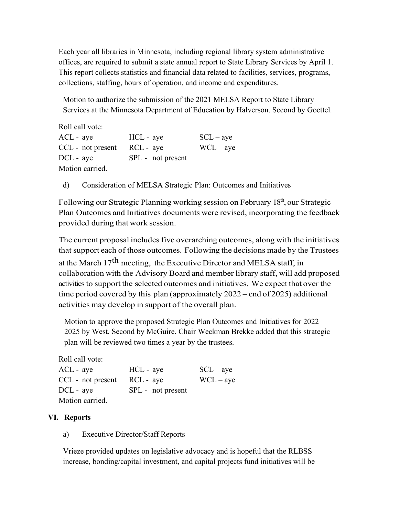Each year all libraries in Minnesota, including regional library system administrative offices, are required to submit a state annual report to State Library Services by April 1. This report collects statistics and financial data related to facilities, services, programs, collections, staffing, hours of operation, and income and expenditures.

Motion to authorize the submission of the 2021 MELSA Report to State Library Services at the Minnesota Department of Education by Halverson. Second by Goettel.

Roll call vote:  $ACL - aye$   $HCL - aye$   $SCL - aye$  $CCL$  - not present  $RCL$  - aye  $WCL - aye$ 

Motion carried.

DCL - aye SPL - not present

d) Consideration of MELSA Strategic Plan: Outcomes and Initiatives

Following our Strategic Planning working session on February  $18<sup>th</sup>$ , our Strategic Plan Outcomes and Initiatives documents were revised, incorporating the feedback provided during that work session.

The current proposal includes five overarching outcomes, along with the initiatives that support each of those outcomes. Following the decisions made by the Trustees at the March  $17<sup>th</sup>$  meeting, the Executive Director and MELSA staff, in collaboration with the Advisory Board and member library staff, will add proposed activities to support the selected outcomes and initiatives. We expect that over the time period covered by this plan (approximately 2022 – end of 2025) additional activities may develop in support of the overall plan.

Motion to approve the proposed Strategic Plan Outcomes and Initiatives for 2022 – 2025 by West. Second by McGuire. Chair Weckman Brekke added that this strategic plan will be reviewed two times a year by the trustees.

Roll call vote:

| $ACL - aye$       | HCL - aye         | $SCL - ave$ |
|-------------------|-------------------|-------------|
| CCL - not present | $RCL - ave$       | $WCL - aye$ |
| $DCL - ave$       | SPL - not present |             |
| Motion carried.   |                   |             |

## **VI. Reports**

a) Executive Director/Staff Reports

Vrieze provided updates on legislative advocacy and is hopeful that the RLBSS increase, bonding/capital investment, and capital projects fund initiatives will be